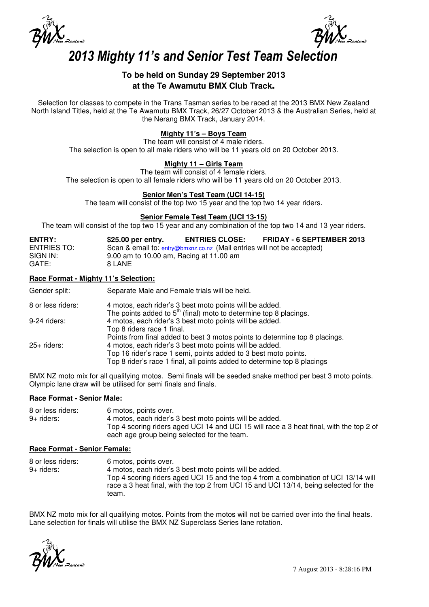



# 2013 Mighty 11's and Senior Test Team Selection

# **To be held on Sunday 29 September 2013 at the Te Awamutu BMX Club Track**.

Selection for classes to compete in the Trans Tasman series to be raced at the 2013 BMX New Zealand North Island Titles, held at the Te Awamutu BMX Track, 26/27 October 2013 & the Australian Series, held at the Nerang BMX Track, January 2014.

# **Mighty 11's – Boys Team**

The team will consist of 4 male riders. The selection is open to all male riders who will be 11 years old on 20 October 2013.

# **Mighty 11 – Girls Team**

The team will consist of 4 female riders.

The selection is open to all female riders who will be 11 years old on 20 October 2013.

### **Senior Men's Test Team (UCI 14-15)**

The team will consist of the top two 15 year and the top two 14 year riders.

#### **Senior Female Test Team (UCI 13-15)**

The team will consist of the top two 15 year and any combination of the top two 14 and 13 year riders.

| <b>ENTRY:</b>      | $$25.00$ per entry.                                                    | <b>ENTRIES CLOSE:</b> | <b>FRIDAY - 6 SEPTEMBER 2013</b> |
|--------------------|------------------------------------------------------------------------|-----------------------|----------------------------------|
| <b>ENTRIES TO:</b> | Scan & email to: entry@bmxnz.co.nz (Mail entries will not be accepted) |                       |                                  |
| SIGN IN:           | 9.00 am to 10.00 am, Racing at 11.00 am                                |                       |                                  |
| GATE:              | 8 LANE                                                                 |                       |                                  |

#### **Race Format - Mighty 11's Selection:**

| Gender split:     | Separate Male and Female trials will be held.                                 |
|-------------------|-------------------------------------------------------------------------------|
| 8 or less riders: | 4 motos, each rider's 3 best moto points will be added.                       |
|                   | The points added to 5 <sup>th</sup> (final) moto to determine top 8 placings. |
| 9-24 riders:      | 4 motos, each rider's 3 best moto points will be added.                       |
|                   | Top 8 riders race 1 final.                                                    |
|                   | Points from final added to best 3 motos points to determine top 8 placings.   |
| 25+ riders:       | 4 motos, each rider's 3 best moto points will be added.                       |
|                   | Top 16 rider's race 1 semi, points added to 3 best moto points.               |
|                   | Top 8 rider's race 1 final, all points added to determine top 8 placings      |
|                   |                                                                               |

BMX NZ moto mix for all qualifying motos. Semi finals will be seeded snake method per best 3 moto points. Olympic lane draw will be utilised for semi finals and finals.

#### **Race Format - Senior Male:**

| 8 or less riders: | 6 motos, points over.                                                                   |
|-------------------|-----------------------------------------------------------------------------------------|
| 9+ riders:        | 4 motos, each rider's 3 best moto points will be added.                                 |
|                   | Top 4 scoring riders aged UCI 14 and UCI 15 will race a 3 heat final, with the top 2 of |
|                   | each age group being selected for the team.                                             |

#### **Race Format - Senior Female:**

| 8 or less riders: | 6 motos, points over.                                                                 |
|-------------------|---------------------------------------------------------------------------------------|
| 9+ riders:        | 4 motos, each rider's 3 best moto points will be added.                               |
|                   | Top 4 scoring riders aged UCI 15 and the top 4 from a combination of UCI 13/14 will   |
|                   | race a 3 heat final, with the top 2 from UCI 15 and UCI 13/14, being selected for the |
|                   | team.                                                                                 |

BMX NZ moto mix for all qualifying motos. Points from the motos will not be carried over into the final heats. Lane selection for finals will utilise the BMX NZ Superclass Series lane rotation.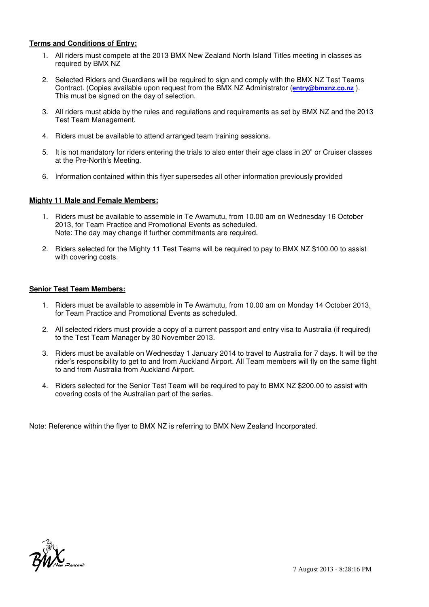## **Terms and Conditions of Entry:**

- 1. All riders must compete at the 2013 BMX New Zealand North Island Titles meeting in classes as required by BMX NZ
- 2. Selected Riders and Guardians will be required to sign and comply with the BMX NZ Test Teams Contract. (Copies available upon request from the BMX NZ Administrator (**entry@bmxnz.co.nz** ). This must be signed on the day of selection.
- 3. All riders must abide by the rules and regulations and requirements as set by BMX NZ and the 2013 Test Team Management.
- 4. Riders must be available to attend arranged team training sessions.
- 5. It is not mandatory for riders entering the trials to also enter their age class in 20" or Cruiser classes at the Pre-North's Meeting.
- 6. Information contained within this flyer supersedes all other information previously provided

### **Mighty 11 Male and Female Members:**

- 1. Riders must be available to assemble in Te Awamutu, from 10.00 am on Wednesday 16 October 2013, for Team Practice and Promotional Events as scheduled. Note: The day may change if further commitments are required.
- 2. Riders selected for the Mighty 11 Test Teams will be required to pay to BMX NZ \$100.00 to assist with covering costs.

#### **Senior Test Team Members:**

- 1. Riders must be available to assemble in Te Awamutu, from 10.00 am on Monday 14 October 2013, for Team Practice and Promotional Events as scheduled.
- 2. All selected riders must provide a copy of a current passport and entry visa to Australia (if required) to the Test Team Manager by 30 November 2013.
- 3. Riders must be available on Wednesday 1 January 2014 to travel to Australia for 7 days. It will be the rider's responsibility to get to and from Auckland Airport. All Team members will fly on the same flight to and from Australia from Auckland Airport.
- 4. Riders selected for the Senior Test Team will be required to pay to BMX NZ \$200.00 to assist with covering costs of the Australian part of the series.

Note: Reference within the flyer to BMX NZ is referring to BMX New Zealand Incorporated.